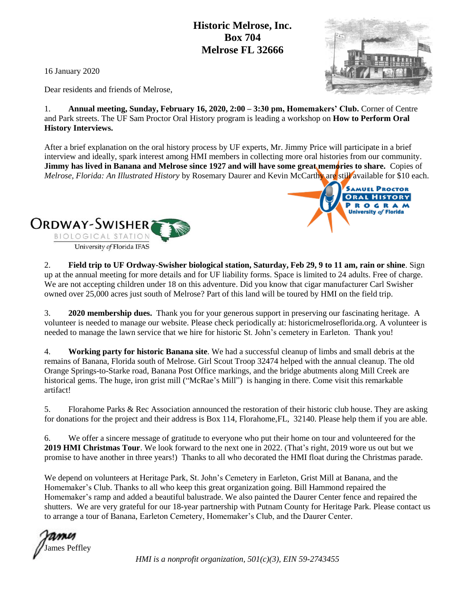## **Historic Melrose, Inc. Box 704 Melrose FL 32666**

16 January 2020

Dear residents and friends of Melrose,

1. **Annual meeting, Sunday, February 16, 2020, 2:00 – 3:30 pm, Homemakers' Club.** Corner of Centre and Park streets. The UF Sam Proctor Oral History program is leading a workshop on **How to Perform Oral History Interviews.**

After a brief explanation on the oral history process by UF experts, Mr. Jimmy Price will participate in a brief interview and ideally, spark interest among HMI members in collecting more oral histories from our community. **Jimmy has lived in Banana and Melrose since 1927 and will have some great memories to share.** Copies of *Melrose, Florida: An Illustrated History* by Rosemary Daurer and Kevin McCarthy are still available for \$10 each.



2. **Field trip to UF Ordway-Swisher biological station, Saturday, Feb 29, 9 to 11 am, rain or shine**. Sign up at the annual meeting for more details and for UF liability forms. Space is limited to 24 adults. Free of charge. We are not accepting children under 18 on this adventure. Did you know that cigar manufacturer Carl Swisher owned over 25,000 acres just south of Melrose? Part of this land will be toured by HMI on the field trip.

3. **2020 membership dues.** Thank you for your generous support in preserving our fascinating heritage. A volunteer is needed to manage our website. Please check periodically at: historicmelroseflorida.org. A volunteer is needed to manage the lawn service that we hire for historic St. John's cemetery in Earleton. Thank you!

4. **Working party for historic Banana site**. We had a successful cleanup of limbs and small debris at the remains of Banana, Florida south of Melrose. Girl Scout Troop 32474 helped with the annual cleanup. The old Orange Springs-to-Starke road, Banana Post Office markings, and the bridge abutments along Mill Creek are historical gems. The huge, iron grist mill ("McRae's Mill") is hanging in there. Come visit this remarkable artifact!

5. Florahome Parks & Rec Association announced the restoration of their historic club house. They are asking for donations for the project and their address is Box 114, Florahome,FL, 32140. Please help them if you are able.

6. We offer a sincere message of gratitude to everyone who put their home on tour and volunteered for the **2019 HMI Christmas Tour**. We look forward to the next one in 2022. (That's right, 2019 wore us out but we promise to have another in three years!) Thanks to all who decorated the HMI float during the Christmas parade.

We depend on volunteers at Heritage Park, St. John's Cemetery in Earleton, Grist Mill at Banana, and the Homemaker's Club. Thanks to all who keep this great organization going. Bill Hammond repaired the Homemaker's ramp and added a beautiful balustrade. We also painted the Daurer Center fence and repaired the shutters. We are very grateful for our 18-year partnership with Putnam County for Heritage Park. Please contact us to arrange a tour of Banana, Earleton Cemetery, Homemaker's Club, and the Daurer Center.

James Peffley

*HMI is a nonprofit organization, 501(c)(3), EIN 59-2743455*